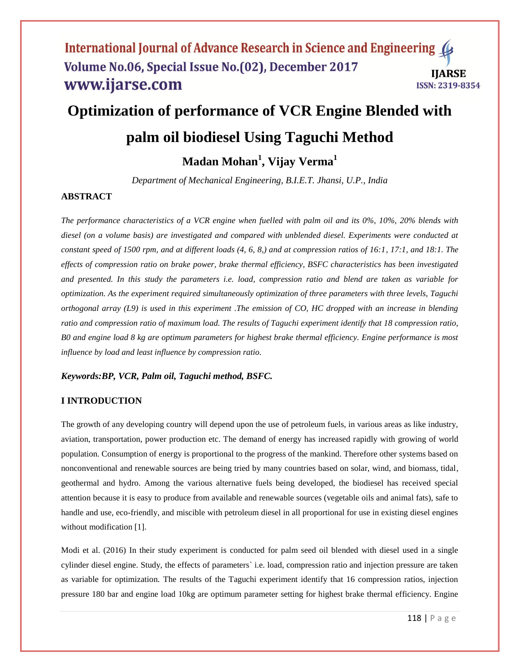# **Optimization of performance of VCR Engine Blended with**

# **palm oil biodiesel Using Taguchi Method**

# **Madan Mohan<sup>1</sup> , Vijay Verma<sup>1</sup>**

*Department of Mechanical Engineering, B.I.E.T. Jhansi, U.P., India* 

### **ABSTRACT**

*The performance characteristics of a VCR engine when fuelled with palm oil and its 0%, 10%, 20% blends with diesel (on a volume basis) are investigated and compared with unblended diesel. Experiments were conducted at constant speed of 1500 rpm, and at different loads (4, 6, 8,) and at compression ratios of 16:1, 17:1, and 18:1. The effects of compression ratio on brake power, brake thermal efficiency, BSFC characteristics has been investigated and presented. In this study the parameters i.e. load, compression ratio and blend are taken as variable for optimization. As the experiment required simultaneously optimization of three parameters with three levels, Taguchi orthogonal array (L9) is used in this experiment .The emission of CO, HC dropped with an increase in blending ratio and compression ratio of maximum load. The results of Taguchi experiment identify that 18 compression ratio, B0 and engine load 8 kg are optimum parameters for highest brake thermal efficiency. Engine performance is most influence by load and least influence by compression ratio.*

### *Keywords:BP, VCR, Palm oil, Taguchi method, BSFC.*

### **I INTRODUCTION**

The growth of any developing country will depend upon the use of petroleum fuels, in various areas as like industry, aviation, transportation, power production etc. The demand of energy has increased rapidly with growing of world population. Consumption of energy is proportional to the progress of the mankind. Therefore other systems based on nonconventional and renewable sources are being tried by many countries based on solar, wind, and biomass, tidal, geothermal and hydro. Among the various alternative fuels being developed, the biodiesel has received special attention because it is easy to produce from available and renewable sources (vegetable oils and animal fats), safe to handle and use, eco-friendly, and miscible with petroleum diesel in all proportional for use in existing diesel engines without modification [1].

Modi et al. (2016) In their study experiment is conducted for palm seed oil blended with diesel used in a single cylinder diesel engine. Study, the effects of parameters` i.e. load, compression ratio and injection pressure are taken as variable for optimization. The results of the Taguchi experiment identify that 16 compression ratios, injection pressure 180 bar and engine load 10kg are optimum parameter setting for highest brake thermal efficiency. Engine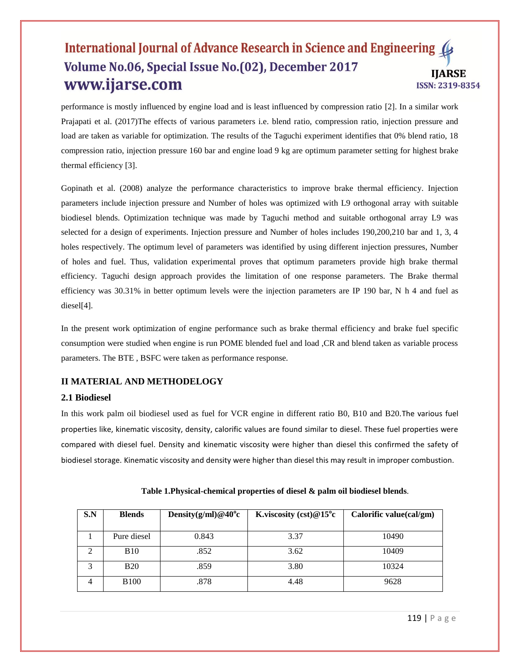performance is mostly influenced by engine load and is least influenced by compression ratio [2]. In a similar work Prajapati et al. (2017)The effects of various parameters i.e. blend ratio, compression ratio, injection pressure and load are taken as variable for optimization. The results of the Taguchi experiment identifies that 0% blend ratio, 18 compression ratio, injection pressure 160 bar and engine load 9 kg are optimum parameter setting for highest brake thermal efficiency [3].

Gopinath et al. (2008) analyze the performance characteristics to improve brake thermal efficiency. Injection parameters include injection pressure and Number of holes was optimized with L9 orthogonal array with suitable biodiesel blends. Optimization technique was made by Taguchi method and suitable orthogonal array L9 was selected for a design of experiments. Injection pressure and Number of holes includes 190,200,210 bar and 1, 3, 4 holes respectively. The optimum level of parameters was identified by using different injection pressures, Number of holes and fuel. Thus, validation experimental proves that optimum parameters provide high brake thermal efficiency. Taguchi design approach provides the limitation of one response parameters. The Brake thermal efficiency was 30.31% in better optimum levels were the injection parameters are IP 190 bar, N h 4 and fuel as diesel[4].

In the present work optimization of engine performance such as brake thermal efficiency and brake fuel specific consumption were studied when engine is run POME blended fuel and load ,CR and blend taken as variable process parameters. The BTE , BSFC were taken as performance response.

# **II MATERIAL AND METHODELOGY**

#### **2.1 Biodiesel**

In this work palm oil biodiesel used as fuel for VCR engine in different ratio B0, B10 and B20.The various fuel properties like, kinematic viscosity, density, calorific values are found similar to diesel. These fuel properties were compared with diesel fuel. Density and kinematic viscosity were higher than diesel this confirmed the safety of biodiesel storage. Kinematic viscosity and density were higher than diesel this may result in improper combustion.

| S.N            | <b>Blends</b> | Density $(g/ml)$ @ 40 <sup>o</sup> c | K.viscosity $(cst)@15^{\circ}c$ | Calorific value(cal/gm) |
|----------------|---------------|--------------------------------------|---------------------------------|-------------------------|
|                | Pure diesel   | 0.843                                | 3.37                            | 10490                   |
|                | <b>B</b> 10   | .852                                 | 3.62                            | 10409                   |
| 3              | <b>B20</b>    | .859                                 | 3.80                            | 10324                   |
| $\overline{4}$ | <b>B</b> 100  | .878                                 | 4.48                            | 9628                    |

|  |  | Table 1. Physical-chemical properties of diesel & palm oil biodiesel blends. |
|--|--|------------------------------------------------------------------------------|
|--|--|------------------------------------------------------------------------------|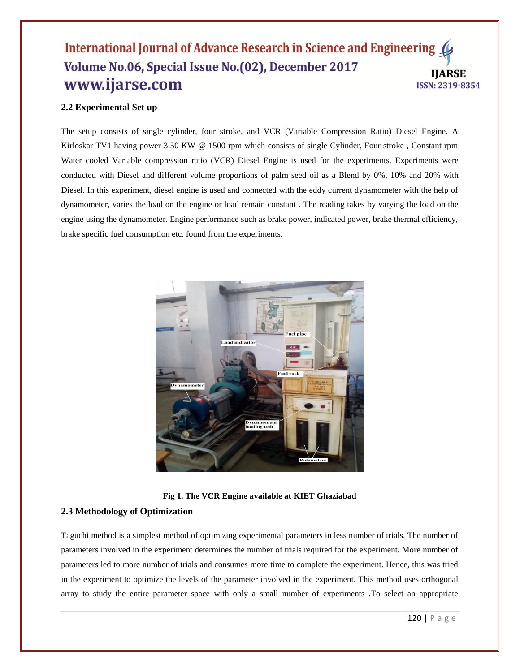# **2.2 Experimental Set up**

The setup consists of single cylinder, four stroke, and VCR (Variable Compression Ratio) Diesel Engine. A Kirloskar TV1 having power 3.50 KW @ 1500 rpm which consists of single Cylinder, Four stroke, Constant rpm Water cooled Variable compression ratio (VCR) Diesel Engine is used for the experiments. Experiments were conducted with Diesel and different volume proportions of palm seed oil as a Blend by 0%, 10% and 20% with Diesel. In this experiment, diesel engine is used and connected with the eddy current dynamometer with the help of dynamometer, varies the load on the engine or load remain constant . The reading takes by varying the load on the engine using the dynamometer. Engine performance such as brake power, indicated power, brake thermal efficiency, brake specific fuel consumption etc. found from the experiments.



**Fig 1. The VCR Engine available at KIET Ghaziabad**

#### **2.3 Methodology of Optimization**

Taguchi method is a simplest method of optimizing experimental parameters in less number of trials. The number of parameters involved in the experiment determines the number of trials required for the experiment. More number of parameters led to more number of trials and consumes more time to complete the experiment. Hence, this was tried in the experiment to optimize the levels of the parameter involved in the experiment. This method uses orthogonal array to study the entire parameter space with only a small number of experiments .To select an appropriate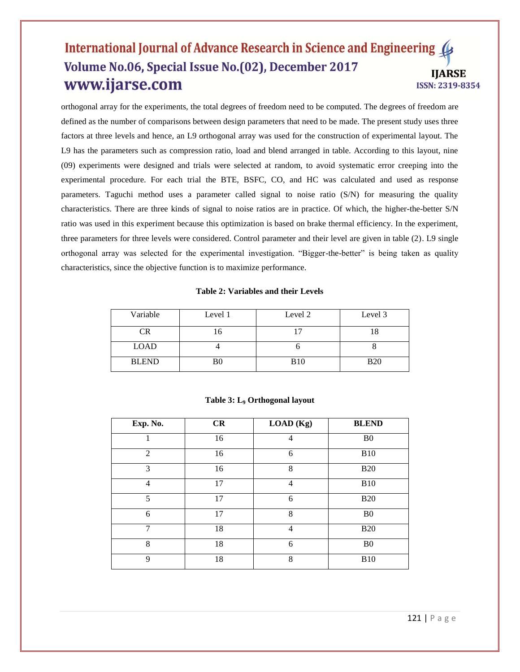orthogonal array for the experiments, the total degrees of freedom need to be computed. The degrees of freedom are defined as the number of comparisons between design parameters that need to be made. The present study uses three factors at three levels and hence, an L9 orthogonal array was used for the construction of experimental layout. The L9 has the parameters such as compression ratio, load and blend arranged in table. According to this layout, nine (09) experiments were designed and trials were selected at random, to avoid systematic error creeping into the experimental procedure. For each trial the BTE, BSFC, CO, and HC was calculated and used as response parameters. Taguchi method uses a parameter called signal to noise ratio (S/N) for measuring the quality characteristics. There are three kinds of signal to noise ratios are in practice. Of which, the higher-the-better S/N ratio was used in this experiment because this optimization is based on brake thermal efficiency. In the experiment, three parameters for three levels were considered. Control parameter and their level are given in table (2). L9 single orthogonal array was selected for the experimental investigation. "Bigger-the-better" is being taken as quality characteristics, since the objective function is to maximize performance.

#### **Table 2: Variables and their Levels**

| Variable     | Level 1        | Level 2     | Level 3    |
|--------------|----------------|-------------|------------|
| CR           |                |             |            |
| <b>LOAD</b>  |                |             |            |
| <b>BLEND</b> | B <sub>0</sub> | <b>B</b> 10 | <b>B20</b> |

| Exp. No.       | CR | LOAD (Kg) | <b>BLEND</b>   |
|----------------|----|-----------|----------------|
|                | 16 | 4         | B <sub>0</sub> |
| $\overline{2}$ | 16 | 6         | <b>B10</b>     |
| 3              | 16 | 8         | <b>B20</b>     |
| $\overline{4}$ | 17 | 4         | <b>B10</b>     |
| 5              | 17 | 6         | <b>B20</b>     |
| 6              | 17 | 8         | B <sub>0</sub> |
| $\mathcal{I}$  | 18 | 4         | <b>B20</b>     |
| 8              | 18 | 6         | B <sub>0</sub> |
| 9              | 18 | 8         | <b>B10</b>     |

#### **Table 3: L<sup>9</sup> Orthogonal layout**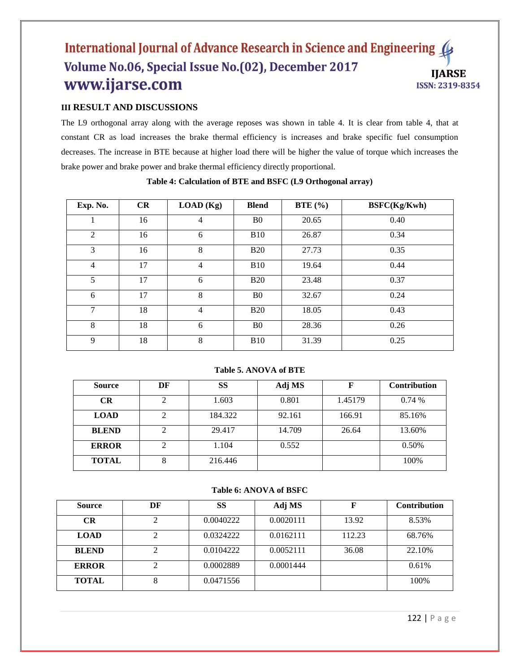# **III RESULT AND DISCUSSIONS**

The L9 orthogonal array along with the average reposes was shown in table 4. It is clear from table 4, that at constant CR as load increases the brake thermal efficiency is increases and brake specific fuel consumption decreases. The increase in BTE because at higher load there will be higher the value of torque which increases the brake power and brake power and brake thermal efficiency directly proportional.

| Exp. No.       | CR | LOAD (Kg)      | <b>Blend</b>   | BTE $(\% )$ | BSFC(Kg/Kwh) |
|----------------|----|----------------|----------------|-------------|--------------|
|                | 16 | 4              | B <sub>0</sub> | 20.65       | 0.40         |
| $\overline{2}$ | 16 | 6              | <b>B10</b>     | 26.87       | 0.34         |
| 3              | 16 | 8              | <b>B20</b>     | 27.73       | 0.35         |
| $\overline{4}$ | 17 | $\overline{4}$ | <b>B10</b>     | 19.64       | 0.44         |
| 5              | 17 | 6              | <b>B20</b>     | 23.48       | 0.37         |
| 6              | 17 | 8              | B <sub>0</sub> | 32.67       | 0.24         |
| 7              | 18 | $\overline{4}$ | <b>B20</b>     | 18.05       | 0.43         |
| 8              | 18 | 6              | B <sub>0</sub> | 28.36       | 0.26         |
| 9              | 18 | 8              | <b>B10</b>     | 31.39       | 0.25         |

#### **Table 4: Calculation of BTE and BSFC (L9 Orthogonal array)**

#### **Table 5. ANOVA of BTE**

| <b>Source</b> | DF | <b>SS</b> | Adj MS | F       | <b>Contribution</b> |
|---------------|----|-----------|--------|---------|---------------------|
| CR            | 2  | 1.603     | 0.801  | 1.45179 | 0.74%               |
| <b>LOAD</b>   | 2  | 184.322   | 92.161 | 166.91  | 85.16%              |
| <b>BLEND</b>  | 2  | 29.417    | 14.709 | 26.64   | 13.60%              |
| <b>ERROR</b>  | 2  | 1.104     | 0.552  |         | 0.50%               |
| <b>TOTAL</b>  | 8  | 216.446   |        |         | 100%                |

#### **Table 6: ANOVA of BSFC**

| Source       | DF | <b>SS</b> | Adj MS    | F      | <b>Contribution</b> |
|--------------|----|-----------|-----------|--------|---------------------|
| <b>CR</b>    | ⌒  | 0.0040222 | 0.0020111 | 13.92  | 8.53%               |
| <b>LOAD</b>  | 2  | 0.0324222 | 0.0162111 | 112.23 | 68.76%              |
| <b>BLEND</b> | ◠  | 0.0104222 | 0.0052111 | 36.08  | 22.10%              |
| <b>ERROR</b> | ◠  | 0.0002889 | 0.0001444 |        | 0.61%               |
| <b>TOTAL</b> | 8  | 0.0471556 |           |        | 100%                |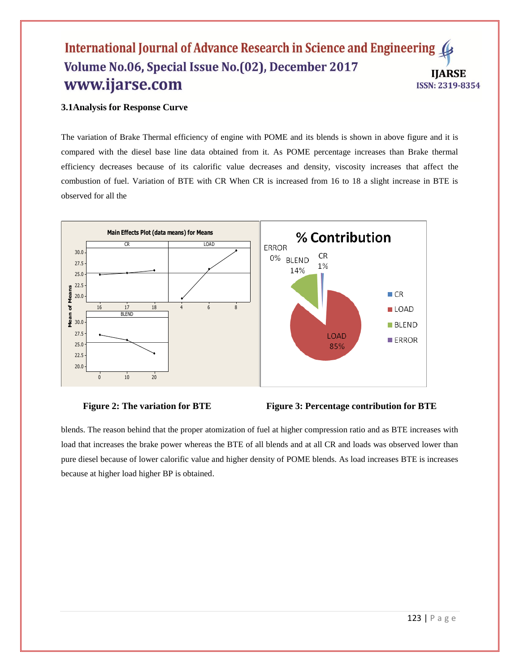# **3.1Analysis for Response Curve**

The variation of Brake Thermal efficiency of engine with POME and its blends is shown in above figure and it is compared with the diesel base line data obtained from it. As POME percentage increases than Brake thermal efficiency decreases because of its calorific value decreases and density, viscosity increases that affect the combustion of fuel. Variation of BTE with CR When CR is increased from 16 to 18 a slight increase in BTE is observed for all the







blends. The reason behind that the proper atomization of fuel at higher compression ratio and as BTE increases with load that increases the brake power whereas the BTE of all blends and at all CR and loads was observed lower than pure diesel because of lower calorific value and higher density of POME blends. As load increases BTE is increases because at higher load higher BP is obtained.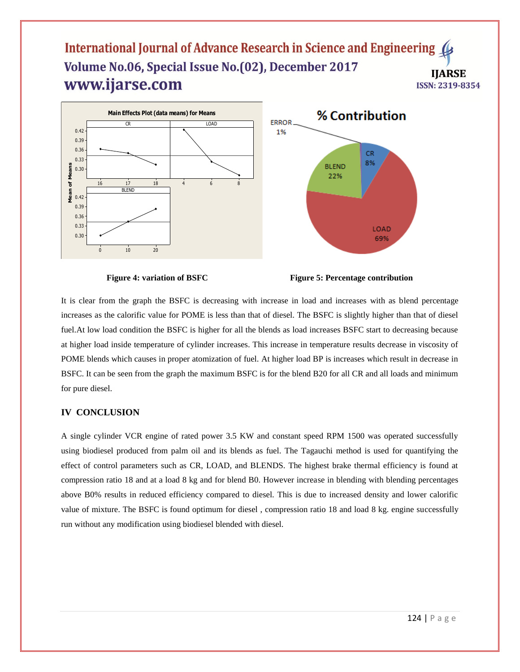

**Figure 4: variation of BSFC Figure 5: Percentage contribution**

It is clear from the graph the BSFC is decreasing with increase in load and increases with as blend percentage increases as the calorific value for POME is less than that of diesel. The BSFC is slightly higher than that of diesel fuel.At low load condition the BSFC is higher for all the blends as load increases BSFC start to decreasing because at higher load inside temperature of cylinder increases. This increase in temperature results decrease in viscosity of POME blends which causes in proper atomization of fuel. At higher load BP is increases which result in decrease in BSFC. It can be seen from the graph the maximum BSFC is for the blend B20 for all CR and all loads and minimum for pure diesel.

#### **IV CONCLUSION**

A single cylinder VCR engine of rated power 3.5 KW and constant speed RPM 1500 was operated successfully using biodiesel produced from palm oil and its blends as fuel. The Tagauchi method is used for quantifying the effect of control parameters such as CR, LOAD, and BLENDS. The highest brake thermal efficiency is found at compression ratio 18 and at a load 8 kg and for blend B0. However increase in blending with blending percentages above B0% results in reduced efficiency compared to diesel. This is due to increased density and lower calorific value of mixture. The BSFC is found optimum for diesel , compression ratio 18 and load 8 kg. engine successfully run without any modification using biodiesel blended with diesel.